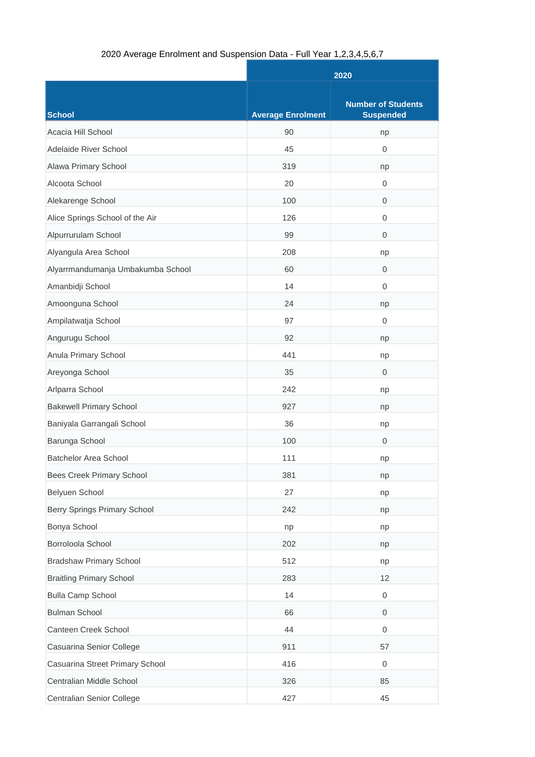## 2020 Average Enrolment and Suspension Data - Full Year 1,2,3,4,5,6,7

|                                     | 2020                     |                                               |
|-------------------------------------|--------------------------|-----------------------------------------------|
| School                              | <b>Average Enrolment</b> | <b>Number of Students</b><br><b>Suspended</b> |
| Acacia Hill School                  | 90                       | np                                            |
| Adelaide River School               | 45                       | $\mathbf 0$                                   |
| Alawa Primary School                | 319                      | np                                            |
| Alcoota School                      | 20                       | 0                                             |
| Alekarenge School                   | 100                      | $\overline{0}$                                |
| Alice Springs School of the Air     | 126                      | $\mathbf 0$                                   |
| Alpurrurulam School                 | 99                       | 0                                             |
| Alyangula Area School               | 208                      | np                                            |
| Alyarrmandumanja Umbakumba School   | 60                       | $\mathbf{0}$                                  |
| Amanbidji School                    | 14                       | 0                                             |
| Amoonguna School                    | 24                       | np                                            |
| Ampilatwatja School                 | 97                       | 0                                             |
| Angurugu School                     | 92                       | np                                            |
| Anula Primary School                | 441                      | np                                            |
| Areyonga School                     | 35                       | $\mathbf 0$                                   |
| Arlparra School                     | 242                      | np                                            |
| <b>Bakewell Primary School</b>      | 927                      | np                                            |
| Baniyala Garrangali School          | 36                       | np                                            |
| Barunga School                      | 100                      | $\mathbf{0}$                                  |
| <b>Batchelor Area School</b>        | 111                      | np                                            |
| <b>Bees Creek Primary School</b>    | 381                      | np                                            |
| Belyuen School                      | 27                       | np                                            |
| <b>Berry Springs Primary School</b> | 242                      | np                                            |
| Bonya School                        | np                       | np                                            |
| Borroloola School                   | 202                      | np                                            |
| <b>Bradshaw Primary School</b>      | 512                      | np                                            |
| <b>Braitling Primary School</b>     | 283                      | 12                                            |
| <b>Bulla Camp School</b>            | 14                       | $\boldsymbol{0}$                              |
| <b>Bulman School</b>                | 66                       | $\mathbf 0$                                   |
| Canteen Creek School                | 44                       | $\boldsymbol{0}$                              |
| Casuarina Senior College            | 911                      | 57                                            |
| Casuarina Street Primary School     | 416                      | $\boldsymbol{0}$                              |
| Centralian Middle School            | 326                      | 85                                            |
| Centralian Senior College           | 427                      | 45                                            |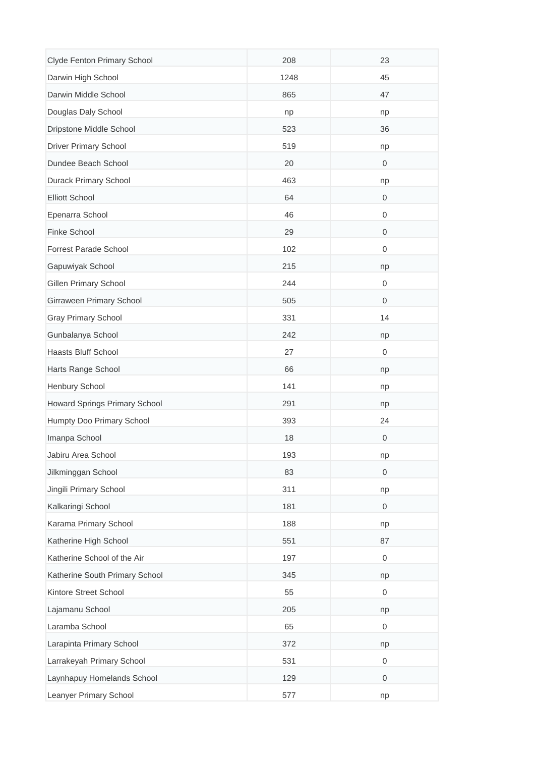| Clyde Fenton Primary School    | 208  | 23                  |
|--------------------------------|------|---------------------|
| Darwin High School             | 1248 | 45                  |
| Darwin Middle School           | 865  | 47                  |
| Douglas Daly School            | np   | np                  |
| Dripstone Middle School        | 523  | 36                  |
| <b>Driver Primary School</b>   | 519  | np                  |
| Dundee Beach School            | 20   | $\mathbf 0$         |
| Durack Primary School          | 463  | np                  |
| <b>Elliott School</b>          | 64   | 0                   |
| Epenarra School                | 46   | 0                   |
| Finke School                   | 29   | 0                   |
| Forrest Parade School          | 102  | 0                   |
| Gapuwiyak School               | 215  | np                  |
| Gillen Primary School          | 244  | 0                   |
| Girraween Primary School       | 505  | $\boldsymbol{0}$    |
| <b>Gray Primary School</b>     | 331  | 14                  |
| Gunbalanya School              | 242  | np                  |
| Haasts Bluff School            | 27   | 0                   |
| Harts Range School             | 66   | np                  |
| Henbury School                 | 141  | np                  |
| Howard Springs Primary School  | 291  | np                  |
| Humpty Doo Primary School      | 393  | 24                  |
| Imanpa School                  | 18   | $\boldsymbol{0}$    |
| Jabiru Area School             | 193  | np                  |
| Jilkminggan School             | 83   | $\,0\,$             |
| Jingili Primary School         | 311  | np                  |
| Kalkaringi School              | 181  | $\mathsf{O}\xspace$ |
| Karama Primary School          | 188  | np                  |
| Katherine High School          | 551  | 87                  |
| Katherine School of the Air    | 197  | 0                   |
| Katherine South Primary School | 345  | np                  |
| Kintore Street School          | 55   | $\boldsymbol{0}$    |
| Lajamanu School                | 205  | np                  |
| Laramba School                 | 65   | $\boldsymbol{0}$    |
| Larapinta Primary School       | 372  | np                  |
| Larrakeyah Primary School      | 531  | $\boldsymbol{0}$    |
| Laynhapuy Homelands School     | 129  | 0                   |
| Leanyer Primary School         | 577  | np                  |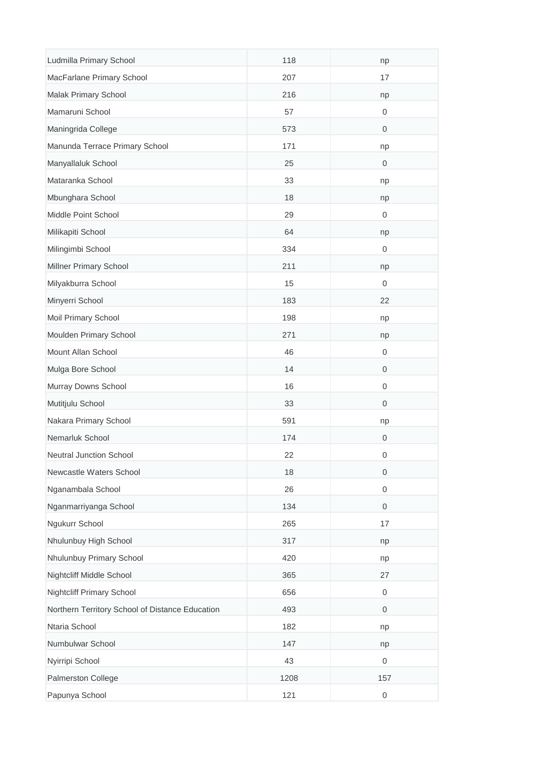| Ludmilla Primary School                         | 118  | np                  |
|-------------------------------------------------|------|---------------------|
| MacFarlane Primary School                       | 207  | 17                  |
| Malak Primary School                            | 216  | np                  |
| Mamaruni School                                 | 57   | 0                   |
| Maningrida College                              | 573  | $\boldsymbol{0}$    |
| Manunda Terrace Primary School                  | 171  | np                  |
| Manyallaluk School                              | 25   | $\boldsymbol{0}$    |
| Mataranka School                                | 33   | np                  |
| Mbunghara School                                | 18   | np                  |
| Middle Point School                             | 29   | $\boldsymbol{0}$    |
| Milikapiti School                               | 64   | np                  |
| Milingimbi School                               | 334  | 0                   |
| Millner Primary School                          | 211  | np                  |
| Milyakburra School                              | 15   | $\boldsymbol{0}$    |
| Minyerri School                                 | 183  | 22                  |
| Moil Primary School                             | 198  | np                  |
| Moulden Primary School                          | 271  | np                  |
| Mount Allan School                              | 46   | $\boldsymbol{0}$    |
| Mulga Bore School                               | 14   | $\,0\,$             |
| Murray Downs School                             | 16   | $\boldsymbol{0}$    |
| Mutitjulu School                                | 33   | $\boldsymbol{0}$    |
| Nakara Primary School                           | 591  | np                  |
| Nemarluk School                                 | 174  | $\mathbf 0$         |
| Neutral Junction School                         | 22   | 0                   |
| Newcastle Waters School                         | 18   | $\,0\,$             |
| Nganambala School                               | 26   | $\boldsymbol{0}$    |
| Nganmarriyanga School                           | 134  | $\mathsf{O}\xspace$ |
| Ngukurr School                                  | 265  | 17                  |
| Nhulunbuy High School                           | 317  | np                  |
| Nhulunbuy Primary School                        | 420  | np                  |
| Nightcliff Middle School                        | 365  | 27                  |
| <b>Nightcliff Primary School</b>                | 656  | $\boldsymbol{0}$    |
| Northern Territory School of Distance Education | 493  | $\boldsymbol{0}$    |
| Ntaria School                                   | 182  | np                  |
| Numbulwar School                                | 147  | np                  |
| Nyirripi School                                 | 43   | $\boldsymbol{0}$    |
| Palmerston College                              | 1208 | 157                 |
| Papunya School                                  | 121  | $\mathbf 0$         |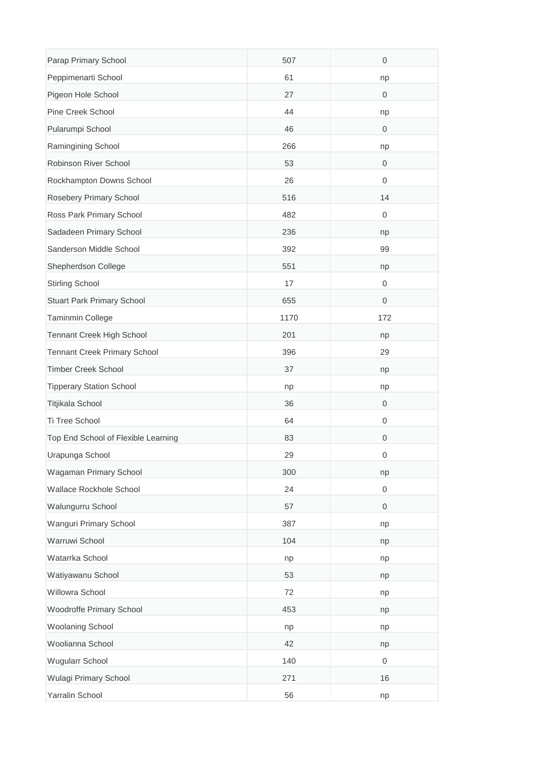| Parap Primary School                | 507  | $\boldsymbol{0}$    |
|-------------------------------------|------|---------------------|
| Peppimenarti School                 | 61   | np                  |
| Pigeon Hole School                  | 27   | $\mathbf 0$         |
| Pine Creek School                   | 44   | np                  |
| Pularumpi School                    | 46   | $\mathbf 0$         |
| Ramingining School                  | 266  | np                  |
| Robinson River School               | 53   | $\boldsymbol{0}$    |
| Rockhampton Downs School            | 26   | $\boldsymbol{0}$    |
| Rosebery Primary School             | 516  | 14                  |
| Ross Park Primary School            | 482  | $\boldsymbol{0}$    |
| Sadadeen Primary School             | 236  | np                  |
| Sanderson Middle School             | 392  | 99                  |
| Shepherdson College                 | 551  | np                  |
| <b>Stirling School</b>              | 17   | 0                   |
| Stuart Park Primary School          | 655  | $\boldsymbol{0}$    |
| Taminmin College                    | 1170 | 172                 |
| Tennant Creek High School           | 201  | np                  |
| <b>Tennant Creek Primary School</b> | 396  | 29                  |
| <b>Timber Creek School</b>          | 37   | np                  |
| <b>Tipperary Station School</b>     | np   | np                  |
| Titjikala School                    | 36   | $\mathbf 0$         |
| Ti Tree School                      | 64   | $\boldsymbol{0}$    |
| Top End School of Flexible Learning | 83   | $\boldsymbol{0}$    |
| Urapunga School                     | 29   | 0                   |
| Wagaman Primary School              | 300  | np                  |
| Wallace Rockhole School             | 24   | $\boldsymbol{0}$    |
| Walungurru School                   | 57   | $\mathsf{O}\xspace$ |
| Wanguri Primary School              | 387  | np                  |
| Warruwi School                      | 104  | np                  |
| Watarrka School                     | np   | np                  |
| Watiyawanu School                   | 53   | np                  |
| Willowra School                     | 72   | np                  |
| Woodroffe Primary School            | 453  | np                  |
| <b>Woolaning School</b>             | np   | np                  |
| Woolianna School                    | 42   | np                  |
| Wugularr School                     | 140  | $\boldsymbol{0}$    |
| Wulagi Primary School               | 271  | 16                  |
| Yarralin School                     | 56   | np                  |